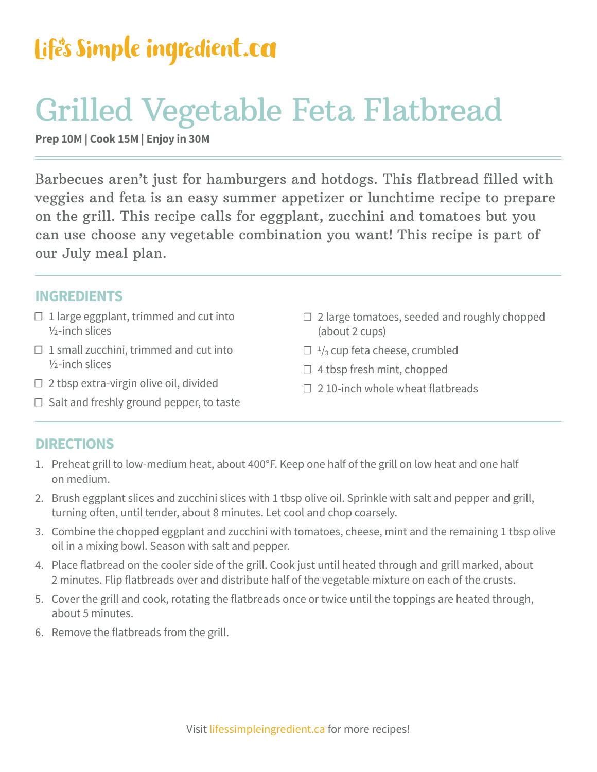### Life's Simple ingredient.ca

## Grilled Vegetable Feta Flatbread

**Prep 10M | Cook 15M | Enjoy in 30M**

Barbecues aren't just for hamburgers and hotdogs. This flatbread filled with veggies and feta is an easy summer appetizer or lunchtime recipe to prepare on the grill. This recipe calls for eggplant, zucchini and tomatoes but you can use choose any vegetable combination you want! This recipe is part of our July meal plan.

#### **INGREDIENTS**

- $\Box$  1 large eggplant, trimmed and cut into ½-inch slices
- $\Box$  1 small zucchini, trimmed and cut into ½-inch slices
- □ 2 tbsp extra-virgin olive oil, divided
- ☐ Salt and freshly ground pepper, to taste
- ☐ 2 large tomatoes, seeded and roughly chopped (about 2 cups)
- $\Box$  <sup>1</sup>/<sub>3</sub> cup feta cheese, crumbled
- ☐ 4 tbsp fresh mint, chopped
- $\Box$  2 10-inch whole wheat flatbreads

#### **DIRECTIONS**

- 1. Preheat grill to low-medium heat, about 400°F. Keep one half of the grill on low heat and one half on medium.
- 2. Brush eggplant slices and zucchini slices with 1 tbsp olive oil. Sprinkle with salt and pepper and grill, turning often, until tender, about 8 minutes. Let cool and chop coarsely.
- 3. Combine the chopped eggplant and zucchini with tomatoes, cheese, mint and the remaining 1 tbsp olive oil in a mixing bowl. Season with salt and pepper.
- 4. Place flatbread on the cooler side of the grill. Cook just until heated through and grill marked, about 2 minutes. Flip flatbreads over and distribute half of the vegetable mixture on each of the crusts.
- 5. Cover the grill and cook, rotating the flatbreads once or twice until the toppings are heated through, about 5 minutes.
- 6. Remove the flatbreads from the grill.